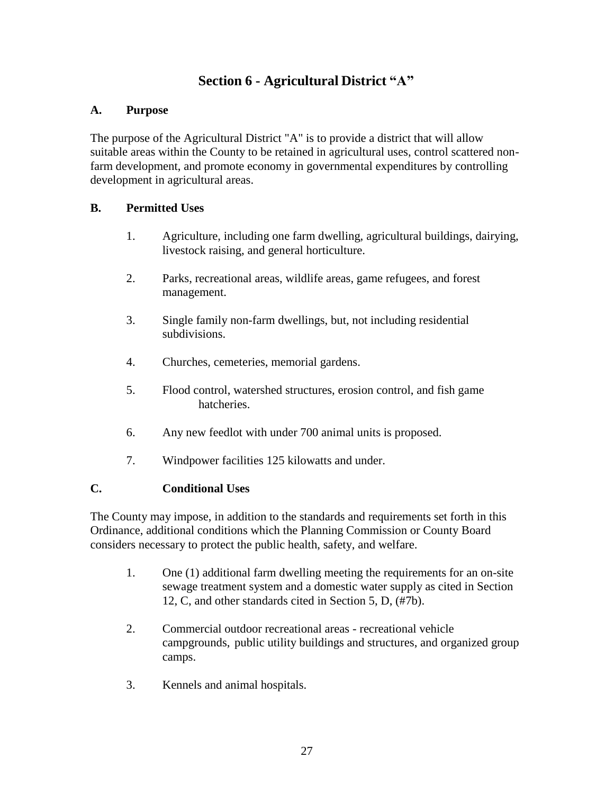# **Section 6 - Agricultural District "A"**

## **A. Purpose**

The purpose of the Agricultural District "A" is to provide a district that will allow suitable areas within the County to be retained in agricultural uses, control scattered nonfarm development, and promote economy in governmental expenditures by controlling development in agricultural areas.

#### **B. Permitted Uses**

- 1. Agriculture, including one farm dwelling, agricultural buildings, dairying, livestock raising, and general horticulture.
- 2. Parks, recreational areas, wildlife areas, game refugees, and forest management.
- 3. Single family non-farm dwellings, but, not including residential subdivisions.
- 4. Churches, cemeteries, memorial gardens.
- 5. Flood control, watershed structures, erosion control, and fish game hatcheries.
- 6. Any new feedlot with under 700 animal units is proposed.
- 7. Windpower facilities 125 kilowatts and under.

# **C. Conditional Uses**

The County may impose, in addition to the standards and requirements set forth in this Ordinance, additional conditions which the Planning Commission or County Board considers necessary to protect the public health, safety, and welfare.

- 1. One (1) additional farm dwelling meeting the requirements for an on-site sewage treatment system and a domestic water supply as cited in Section 12, C, and other standards cited in Section 5, D, (#7b).
- 2. Commercial outdoor recreational areas recreational vehicle campgrounds, public utility buildings and structures, and organized group camps.
- 3. Kennels and animal hospitals.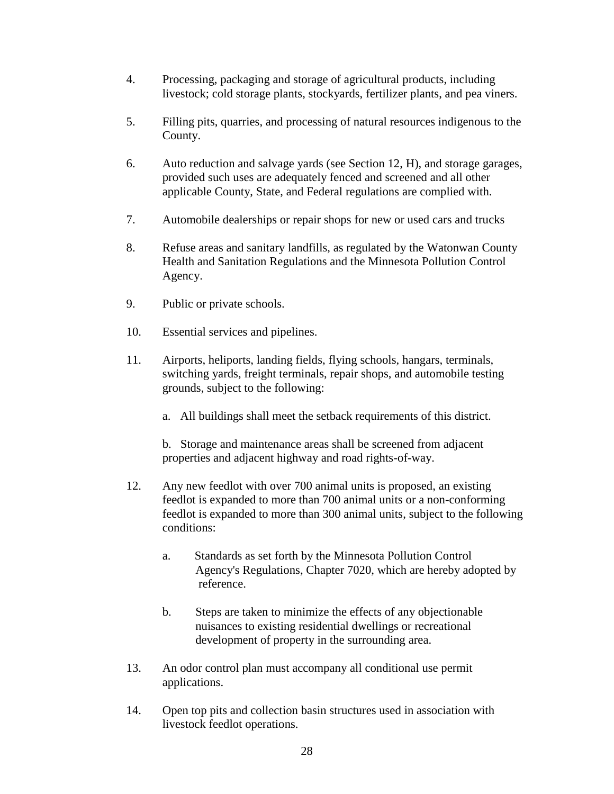- 4. Processing, packaging and storage of agricultural products, including livestock; cold storage plants, stockyards, fertilizer plants, and pea viners.
- 5. Filling pits, quarries, and processing of natural resources indigenous to the County.
- 6. Auto reduction and salvage yards (see Section 12, H), and storage garages, provided such uses are adequately fenced and screened and all other applicable County, State, and Federal regulations are complied with.
- 7. Automobile dealerships or repair shops for new or used cars and trucks
- 8. Refuse areas and sanitary landfills, as regulated by the Watonwan County Health and Sanitation Regulations and the Minnesota Pollution Control Agency.
- 9. Public or private schools.
- 10. Essential services and pipelines.
- 11. Airports, heliports, landing fields, flying schools, hangars, terminals, switching yards, freight terminals, repair shops, and automobile testing grounds, subject to the following:
	- a. All buildings shall meet the setback requirements of this district.

b. Storage and maintenance areas shall be screened from adjacent properties and adjacent highway and road rights-of-way.

- 12. Any new feedlot with over 700 animal units is proposed, an existing feedlot is expanded to more than 700 animal units or a non-conforming feedlot is expanded to more than 300 animal units, subject to the following conditions:
	- a. Standards as set forth by the Minnesota Pollution Control Agency's Regulations, Chapter 7020, which are hereby adopted by reference.
	- b. Steps are taken to minimize the effects of any objectionable nuisances to existing residential dwellings or recreational development of property in the surrounding area.
- 13. An odor control plan must accompany all conditional use permit applications.
- 14. Open top pits and collection basin structures used in association with livestock feedlot operations.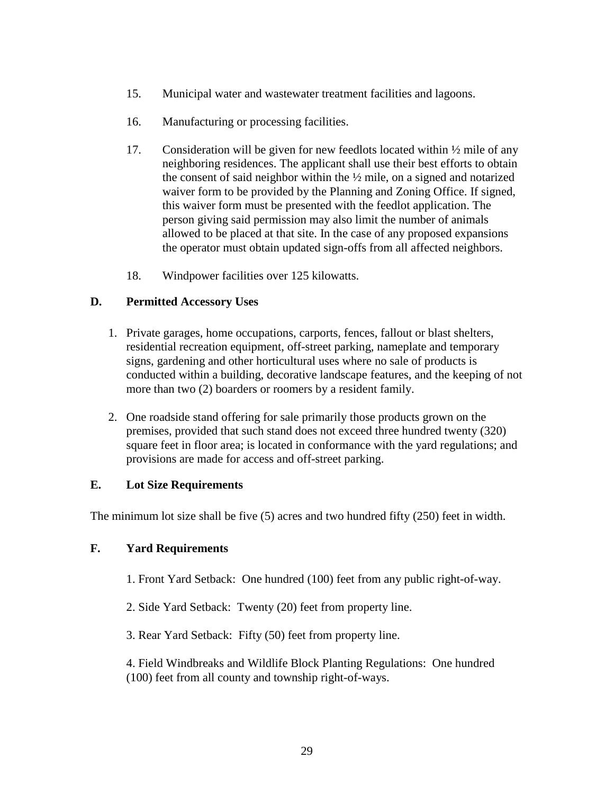- 15. Municipal water and wastewater treatment facilities and lagoons.
- 16. Manufacturing or processing facilities.
- 17. Consideration will be given for new feedlots located within ½ mile of any neighboring residences. The applicant shall use their best efforts to obtain the consent of said neighbor within the ½ mile, on a signed and notarized waiver form to be provided by the Planning and Zoning Office. If signed, this waiver form must be presented with the feedlot application. The person giving said permission may also limit the number of animals allowed to be placed at that site. In the case of any proposed expansions the operator must obtain updated sign-offs from all affected neighbors.
- 18. Windpower facilities over 125 kilowatts.

# **D. Permitted Accessory Uses**

- 1. Private garages, home occupations, carports, fences, fallout or blast shelters, residential recreation equipment, off-street parking, nameplate and temporary signs, gardening and other horticultural uses where no sale of products is conducted within a building, decorative landscape features, and the keeping of not more than two (2) boarders or roomers by a resident family.
- 2. One roadside stand offering for sale primarily those products grown on the premises, provided that such stand does not exceed three hundred twenty (320) square feet in floor area; is located in conformance with the yard regulations; and provisions are made for access and off-street parking.

# **E. Lot Size Requirements**

The minimum lot size shall be five (5) acres and two hundred fifty (250) feet in width.

# **F. Yard Requirements**

- 1. Front Yard Setback: One hundred (100) feet from any public right-of-way.
- 2. Side Yard Setback: Twenty (20) feet from property line.
- 3. Rear Yard Setback: Fifty (50) feet from property line.

4. Field Windbreaks and Wildlife Block Planting Regulations: One hundred (100) feet from all county and township right-of-ways.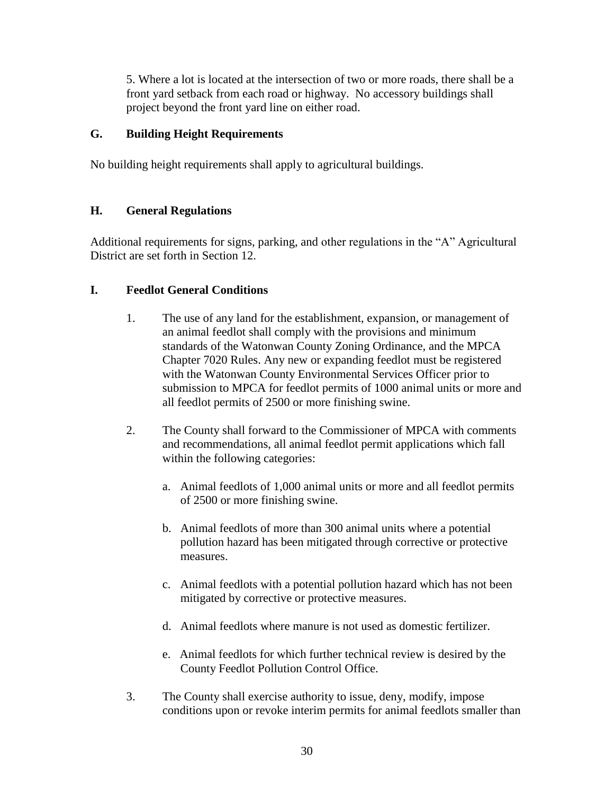5. Where a lot is located at the intersection of two or more roads, there shall be a front yard setback from each road or highway. No accessory buildings shall project beyond the front yard line on either road.

## **G. Building Height Requirements**

No building height requirements shall apply to agricultural buildings.

#### **H. General Regulations**

Additional requirements for signs, parking, and other regulations in the "A" Agricultural District are set forth in Section 12.

#### **I. Feedlot General Conditions**

- 1. The use of any land for the establishment, expansion, or management of an animal feedlot shall comply with the provisions and minimum standards of the Watonwan County Zoning Ordinance, and the MPCA Chapter 7020 Rules. Any new or expanding feedlot must be registered with the Watonwan County Environmental Services Officer prior to submission to MPCA for feedlot permits of 1000 animal units or more and all feedlot permits of 2500 or more finishing swine.
- 2. The County shall forward to the Commissioner of MPCA with comments and recommendations, all animal feedlot permit applications which fall within the following categories:
	- a. Animal feedlots of 1,000 animal units or more and all feedlot permits of 2500 or more finishing swine.
	- b. Animal feedlots of more than 300 animal units where a potential pollution hazard has been mitigated through corrective or protective measures.
	- c. Animal feedlots with a potential pollution hazard which has not been mitigated by corrective or protective measures.
	- d. Animal feedlots where manure is not used as domestic fertilizer.
	- e. Animal feedlots for which further technical review is desired by the County Feedlot Pollution Control Office.
- 3. The County shall exercise authority to issue, deny, modify, impose conditions upon or revoke interim permits for animal feedlots smaller than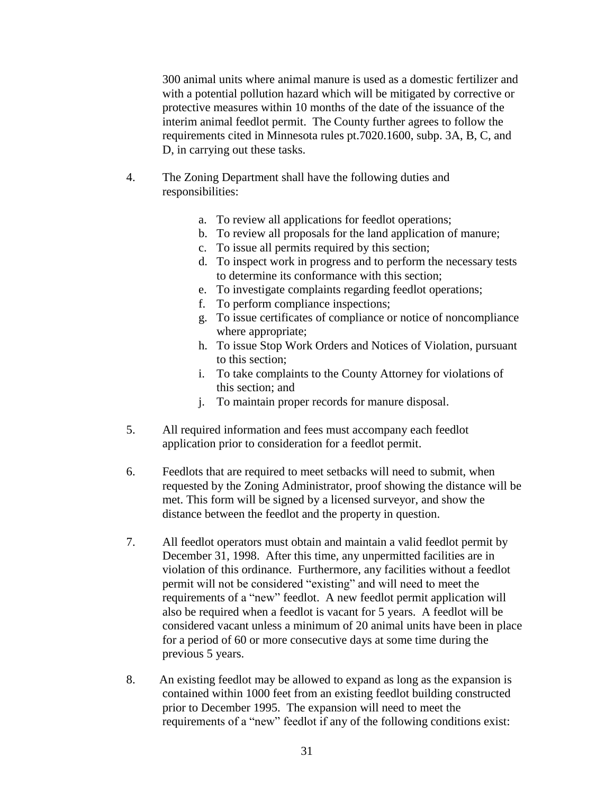300 animal units where animal manure is used as a domestic fertilizer and with a potential pollution hazard which will be mitigated by corrective or protective measures within 10 months of the date of the issuance of the interim animal feedlot permit. The County further agrees to follow the requirements cited in Minnesota rules pt.7020.1600, subp. 3A, B, C, and D, in carrying out these tasks.

- 4. The Zoning Department shall have the following duties and responsibilities:
	- a. To review all applications for feedlot operations;
	- b. To review all proposals for the land application of manure;
	- c. To issue all permits required by this section;
	- d. To inspect work in progress and to perform the necessary tests to determine its conformance with this section;
	- e. To investigate complaints regarding feedlot operations;
	- f. To perform compliance inspections;
	- g. To issue certificates of compliance or notice of noncompliance where appropriate;
	- h. To issue Stop Work Orders and Notices of Violation, pursuant to this section;
	- i. To take complaints to the County Attorney for violations of this section; and
	- j. To maintain proper records for manure disposal.
- 5. All required information and fees must accompany each feedlot application prior to consideration for a feedlot permit.
- 6. Feedlots that are required to meet setbacks will need to submit, when requested by the Zoning Administrator, proof showing the distance will be met. This form will be signed by a licensed surveyor, and show the distance between the feedlot and the property in question.
- 7. All feedlot operators must obtain and maintain a valid feedlot permit by December 31, 1998. After this time, any unpermitted facilities are in violation of this ordinance. Furthermore, any facilities without a feedlot permit will not be considered "existing" and will need to meet the requirements of a "new" feedlot. A new feedlot permit application will also be required when a feedlot is vacant for 5 years. A feedlot will be considered vacant unless a minimum of 20 animal units have been in place for a period of 60 or more consecutive days at some time during the previous 5 years.
- 8. An existing feedlot may be allowed to expand as long as the expansion is contained within 1000 feet from an existing feedlot building constructed prior to December 1995. The expansion will need to meet the requirements of a "new" feedlot if any of the following conditions exist: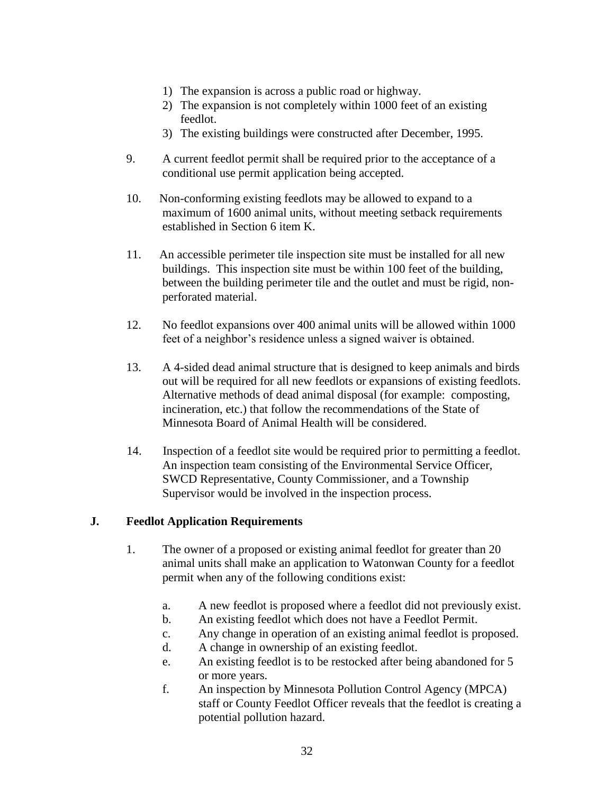- 1) The expansion is across a public road or highway.
- 2) The expansion is not completely within 1000 feet of an existing feedlot.
- 3) The existing buildings were constructed after December, 1995.
- 9. A current feedlot permit shall be required prior to the acceptance of a conditional use permit application being accepted.
- 10. Non-conforming existing feedlots may be allowed to expand to a maximum of 1600 animal units, without meeting setback requirements established in Section 6 item K.
- 11. An accessible perimeter tile inspection site must be installed for all new buildings. This inspection site must be within 100 feet of the building, between the building perimeter tile and the outlet and must be rigid, nonperforated material.
- 12. No feedlot expansions over 400 animal units will be allowed within 1000 feet of a neighbor's residence unless a signed waiver is obtained.
- 13. A 4-sided dead animal structure that is designed to keep animals and birds out will be required for all new feedlots or expansions of existing feedlots. Alternative methods of dead animal disposal (for example: composting, incineration, etc.) that follow the recommendations of the State of Minnesota Board of Animal Health will be considered.
- 14. Inspection of a feedlot site would be required prior to permitting a feedlot. An inspection team consisting of the Environmental Service Officer, SWCD Representative, County Commissioner, and a Township Supervisor would be involved in the inspection process.

# **J. Feedlot Application Requirements**

- 1. The owner of a proposed or existing animal feedlot for greater than 20 animal units shall make an application to Watonwan County for a feedlot permit when any of the following conditions exist:
	- a. A new feedlot is proposed where a feedlot did not previously exist.
	- b. An existing feedlot which does not have a Feedlot Permit.
	- c. Any change in operation of an existing animal feedlot is proposed.
	- d. A change in ownership of an existing feedlot.
	- e. An existing feedlot is to be restocked after being abandoned for 5 or more years.
	- f. An inspection by Minnesota Pollution Control Agency (MPCA) staff or County Feedlot Officer reveals that the feedlot is creating a potential pollution hazard.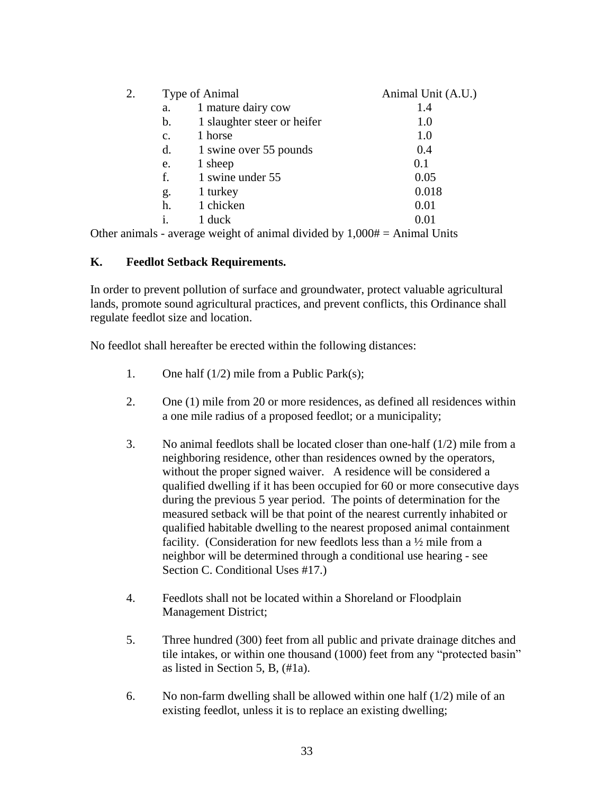| 2. | Type of Animal |                             | Animal Unit (A.U.) |
|----|----------------|-----------------------------|--------------------|
|    | a.             | 1 mature dairy cow          | 1.4                |
|    | b.             | 1 slaughter steer or heifer | 1.0                |
|    | $C_{\bullet}$  | 1 horse                     | 1.0                |
|    | d.             | 1 swine over 55 pounds      | 0.4                |
|    | e.             | 1 sheep                     | 0.1                |
|    | f.             | 1 swine under 55            | 0.05               |
|    | g.             | 1 turkey                    | 0.018              |
|    | h.             | 1 chicken                   | 0.01               |
|    | $\mathbf{1}$ . | 1 duck                      | 0.01               |
|    |                |                             |                    |

Other animals - average weight of animal divided by  $1,000# =$  Animal Units

#### **K. Feedlot Setback Requirements.**

In order to prevent pollution of surface and groundwater, protect valuable agricultural lands, promote sound agricultural practices, and prevent conflicts, this Ordinance shall regulate feedlot size and location.

No feedlot shall hereafter be erected within the following distances:

- 1. One half (1/2) mile from a Public Park(s);
- 2. One (1) mile from 20 or more residences, as defined all residences within a one mile radius of a proposed feedlot; or a municipality;
- 3. No animal feedlots shall be located closer than one-half (1/2) mile from a neighboring residence, other than residences owned by the operators, without the proper signed waiver. A residence will be considered a qualified dwelling if it has been occupied for 60 or more consecutive days during the previous 5 year period. The points of determination for the measured setback will be that point of the nearest currently inhabited or qualified habitable dwelling to the nearest proposed animal containment facility. (Consideration for new feedlots less than a ½ mile from a neighbor will be determined through a conditional use hearing - see Section C. Conditional Uses #17.)
- 4. Feedlots shall not be located within a Shoreland or Floodplain Management District;
- 5. Three hundred (300) feet from all public and private drainage ditches and tile intakes, or within one thousand (1000) feet from any "protected basin" as listed in Section 5, B, (#1a).
- 6. No non-farm dwelling shall be allowed within one half  $(1/2)$  mile of an existing feedlot, unless it is to replace an existing dwelling;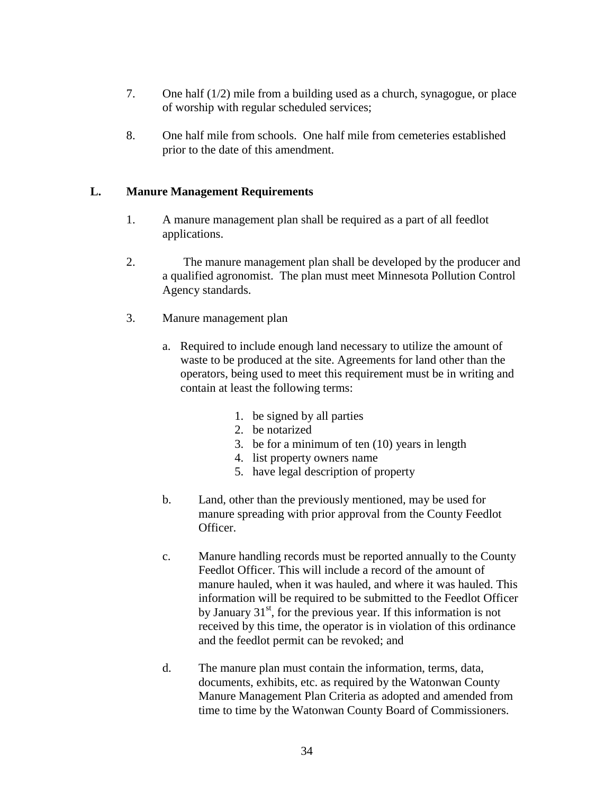- 7. One half (1/2) mile from a building used as a church, synagogue, or place of worship with regular scheduled services;
- 8. One half mile from schools. One half mile from cemeteries established prior to the date of this amendment.

#### **L. Manure Management Requirements**

- 1. A manure management plan shall be required as a part of all feedlot applications.
- 2. The manure management plan shall be developed by the producer and a qualified agronomist. The plan must meet Minnesota Pollution Control Agency standards.
- 3. Manure management plan
	- a. Required to include enough land necessary to utilize the amount of waste to be produced at the site. Agreements for land other than the operators, being used to meet this requirement must be in writing and contain at least the following terms:
		- 1. be signed by all parties
		- 2. be notarized
		- 3. be for a minimum of ten (10) years in length
		- 4. list property owners name
		- 5. have legal description of property
	- b. Land, other than the previously mentioned, may be used for manure spreading with prior approval from the County Feedlot Officer.
	- c. Manure handling records must be reported annually to the County Feedlot Officer. This will include a record of the amount of manure hauled, when it was hauled, and where it was hauled. This information will be required to be submitted to the Feedlot Officer by January  $31^{st}$ , for the previous year. If this information is not received by this time, the operator is in violation of this ordinance and the feedlot permit can be revoked; and
	- d. The manure plan must contain the information, terms, data, documents, exhibits, etc. as required by the Watonwan County Manure Management Plan Criteria as adopted and amended from time to time by the Watonwan County Board of Commissioners.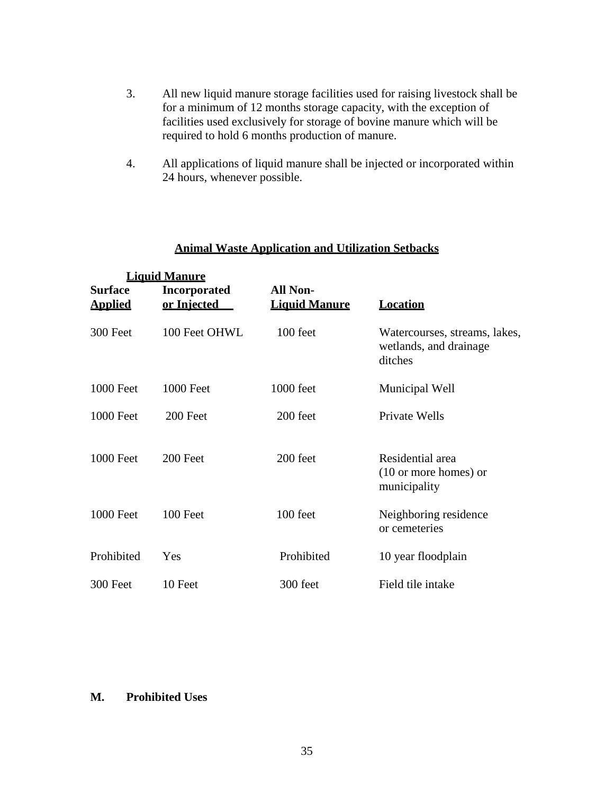- 3. All new liquid manure storage facilities used for raising livestock shall be for a minimum of 12 months storage capacity, with the exception of facilities used exclusively for storage of bovine manure which will be required to hold 6 months production of manure.
- 4. All applications of liquid manure shall be injected or incorporated within 24 hours, whenever possible.

|                           | <b>Liquid Manure</b>               |                                         |                                                                     |
|---------------------------|------------------------------------|-----------------------------------------|---------------------------------------------------------------------|
| Surface<br><u>Applied</u> | <b>Incorporated</b><br>or Injected | <b>All Non-</b><br><b>Liquid Manure</b> | <b>Location</b>                                                     |
| 300 Feet                  | 100 Feet OHWL                      | 100 feet                                | Watercourses, streams, lakes,<br>wetlands, and drainage<br>ditches  |
| <b>1000 Feet</b>          | <b>1000 Feet</b>                   | 1000 feet                               | Municipal Well                                                      |
| <b>1000 Feet</b>          | 200 Feet                           | 200 feet                                | Private Wells                                                       |
| 1000 Feet                 | 200 Feet                           | 200 feet                                | Residential area<br>$(10 \text{ or more homes})$ or<br>municipality |
| <b>1000 Feet</b>          | 100 Feet                           | 100 feet                                | Neighboring residence<br>or cemeteries                              |
| Prohibited                | Yes                                | Prohibited                              | 10 year floodplain                                                  |
| 300 Feet                  | 10 Feet                            | 300 feet                                | Field tile intake                                                   |

# **Animal Waste Application and Utilization Setbacks**

#### **M. Prohibited Uses**